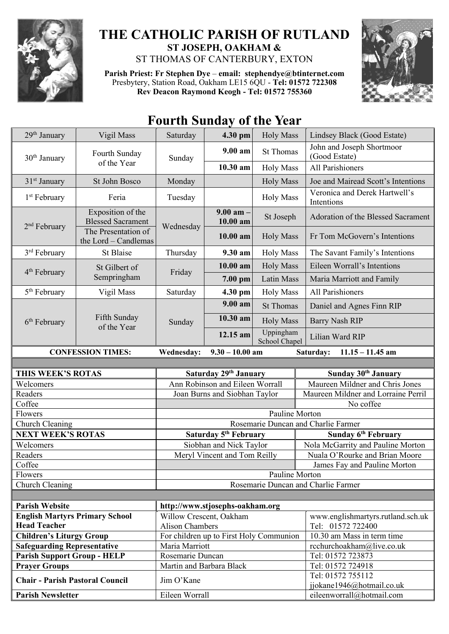

## **THE CATHOLIC PARISH OF RUTLAND ST JOSEPH, OAKHAM &**  ST THOMAS OF CANTERBURY, EXTON

**Parish Priest: Fr Stephen Dye** – **[email: stephendye@btinternet.com](mailto:email:%20%20stephendye@btinternet.com)** Presbytery, Station Road, Oakham LE15 6QU - **Tel: 01572 722308 Rev Deacon Raymond Keogh - Tel: 01572 755360**



## **Fourth Sunday of the Year**

| 29 <sup>th</sup> January                                                                       | Vigil Mass                                                                                   | Saturday                 | 4.30 pm                                                      | <b>Holy Mass</b>           | Lindsey Black (Good Estate)                                            |
|------------------------------------------------------------------------------------------------|----------------------------------------------------------------------------------------------|--------------------------|--------------------------------------------------------------|----------------------------|------------------------------------------------------------------------|
| 30 <sup>th</sup> January                                                                       | Fourth Sunday<br>of the Year                                                                 | Sunday                   | $9.00 a$ m                                                   | <b>St Thomas</b>           | John and Joseph Shortmoor<br>(Good Estate)                             |
|                                                                                                |                                                                                              |                          | 10.30 am                                                     | <b>Holy Mass</b>           | All Parishioners                                                       |
| $31st$ January                                                                                 | St John Bosco                                                                                | Monday                   |                                                              | <b>Holy Mass</b>           | Joe and Mairead Scott's Intentions                                     |
| 1 <sup>st</sup> February                                                                       | Feria                                                                                        | Tuesday                  |                                                              | <b>Holy Mass</b>           | Veronica and Derek Hartwell's<br>Intentions                            |
| $2nd$ February                                                                                 | Exposition of the<br><b>Blessed Sacrament</b><br>The Presentation of<br>the Lord - Candlemas | Wednesday                | $9.00$ am $-$<br>10.00 am                                    | St Joseph                  | Adoration of the Blessed Sacrament                                     |
|                                                                                                |                                                                                              |                          | 10.00 am                                                     | <b>Holy Mass</b>           | Fr Tom McGovern's Intentions                                           |
| 3 <sup>rd</sup> February                                                                       | <b>St Blaise</b>                                                                             | Thursday                 | 9.30 am                                                      | <b>Holy Mass</b>           | The Savant Family's Intentions                                         |
| 4 <sup>th</sup> February                                                                       | St Gilbert of<br>Sempringham                                                                 | Friday                   | 10.00 am                                                     | <b>Holy Mass</b>           | Eileen Worrall's Intentions                                            |
|                                                                                                |                                                                                              |                          | 7.00 pm                                                      | Latin Mass                 | Maria Marriott and Family                                              |
| 5 <sup>th</sup> February                                                                       | Vigil Mass                                                                                   | Saturday                 | 4.30 pm                                                      | <b>Holy Mass</b>           | All Parishioners                                                       |
| $6th$ February                                                                                 | Fifth Sunday<br>of the Year                                                                  | Sunday                   | 9.00 am                                                      | <b>St Thomas</b>           | Daniel and Agnes Finn RIP                                              |
|                                                                                                |                                                                                              |                          | 10.30 am                                                     | <b>Holy Mass</b>           | <b>Barry Nash RIP</b>                                                  |
|                                                                                                |                                                                                              |                          | 12.15 am                                                     | Uppingham<br>School Chapel | Lilian Ward RIP                                                        |
| Wednesday:<br>$9.30 - 10.00$ am<br><b>CONFESSION TIMES:</b><br>Saturday:<br>$11.15 - 11.45$ am |                                                                                              |                          |                                                              |                            |                                                                        |
|                                                                                                |                                                                                              |                          |                                                              |                            |                                                                        |
|                                                                                                |                                                                                              |                          |                                                              |                            |                                                                        |
| THIS WEEK'S ROTAS                                                                              |                                                                                              |                          | Saturday 29th January                                        |                            | Sunday 30 <sup>th</sup> January                                        |
| Welcomers                                                                                      |                                                                                              |                          | Ann Robinson and Eileen Worrall                              |                            | Maureen Mildner and Chris Jones                                        |
| Readers                                                                                        |                                                                                              |                          | Joan Burns and Siobhan Taylor                                |                            | Maureen Mildner and Lorraine Perril                                    |
| Coffee                                                                                         |                                                                                              |                          |                                                              |                            | No coffee                                                              |
| Flowers<br>Church Cleaning                                                                     |                                                                                              |                          |                                                              | Pauline Morton             |                                                                        |
| <b>NEXT WEEK'S ROTAS</b>                                                                       |                                                                                              |                          |                                                              |                            | Rosemarie Duncan and Charlie Farmer<br>Sunday 6 <sup>th</sup> February |
| Welcomers                                                                                      |                                                                                              |                          | Saturday 5 <sup>th</sup> February<br>Siobhan and Nick Taylor |                            | Nola McGarrity and Pauline Morton                                      |
| Readers                                                                                        |                                                                                              |                          | Meryl Vincent and Tom Reilly                                 |                            | Nuala O'Rourke and Brian Moore                                         |
| Coffee                                                                                         |                                                                                              |                          |                                                              |                            | James Fay and Pauline Morton                                           |
| Flowers                                                                                        |                                                                                              |                          |                                                              | Pauline Morton             |                                                                        |
| Church Cleaning                                                                                |                                                                                              |                          |                                                              |                            | Rosemarie Duncan and Charlie Farmer                                    |
|                                                                                                |                                                                                              |                          |                                                              |                            |                                                                        |
| <b>Parish Website</b>                                                                          |                                                                                              |                          | http://www.stjosephs-oakham.org                              |                            |                                                                        |
| <b>English Martyrs Primary School</b><br><b>Head Teacher</b>                                   |                                                                                              |                          | Willow Crescent, Oakham                                      |                            | www.englishmartyrs.rutland.sch.uk                                      |
| <b>Children's Liturgy Group</b>                                                                |                                                                                              | <b>Alison Chambers</b>   | For children up to First Holy Communion                      |                            | Tel: 01572 722400<br>10.30 am Mass in term time                        |
| <b>Safeguarding Representative</b>                                                             |                                                                                              | Maria Marriott           |                                                              |                            | rcchurchoakham@live.co.uk                                              |
| <b>Parish Support Group - HELP</b>                                                             |                                                                                              | Rosemarie Duncan         |                                                              |                            | Tel: 01572 723873                                                      |
| <b>Prayer Groups</b>                                                                           |                                                                                              | Martin and Barbara Black |                                                              |                            | Tel: 01572 724918                                                      |
| <b>Chair - Parish Pastoral Council</b>                                                         |                                                                                              | Jim O'Kane               |                                                              |                            | Tel: 01572 755112                                                      |
| <b>Parish Newsletter</b>                                                                       |                                                                                              | Eileen Worrall           |                                                              |                            | jjokane1946@hotmail.co.uk<br>eileenworrall@hotmail.com                 |